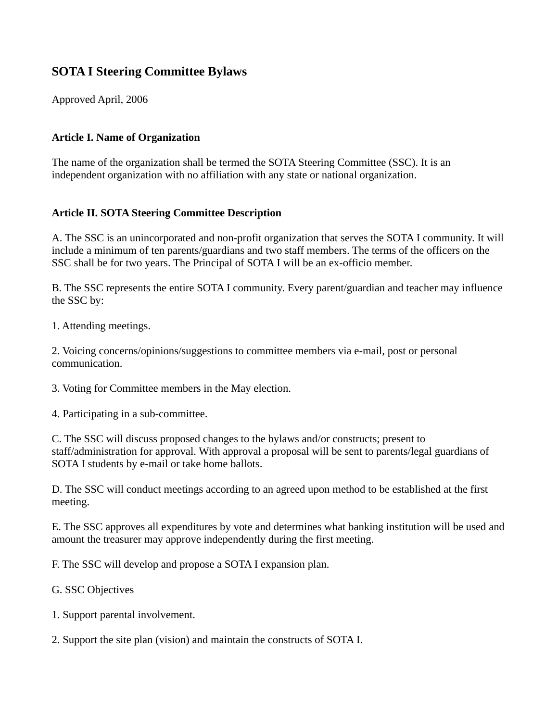# **SOTA I Steering Committee Bylaws**

Approved April, 2006

### **Article I. Name of Organization**

The name of the organization shall be termed the SOTA Steering Committee (SSC). It is an independent organization with no affiliation with any state or national organization.

### **Article II. SOTA Steering Committee Description**

A. The SSC is an unincorporated and non-profit organization that serves the SOTA I community. It will include a minimum of ten parents/guardians and two staff members. The terms of the officers on the SSC shall be for two years. The Principal of SOTA I will be an ex-officio member.

B. The SSC represents the entire SOTA I community. Every parent/guardian and teacher may influence the SSC by:

1. Attending meetings.

2. Voicing concerns/opinions/suggestions to committee members via e-mail, post or personal communication.

3. Voting for Committee members in the May election.

4. Participating in a sub-committee.

C. The SSC will discuss proposed changes to the bylaws and/or constructs; present to staff/administration for approval. With approval a proposal will be sent to parents/legal guardians of SOTA I students by e-mail or take home ballots.

D. The SSC will conduct meetings according to an agreed upon method to be established at the first meeting.

E. The SSC approves all expenditures by vote and determines what banking institution will be used and amount the treasurer may approve independently during the first meeting.

F. The SSC will develop and propose a SOTA I expansion plan.

G. SSC Objectives

1. Support parental involvement.

2. Support the site plan (vision) and maintain the constructs of SOTA I.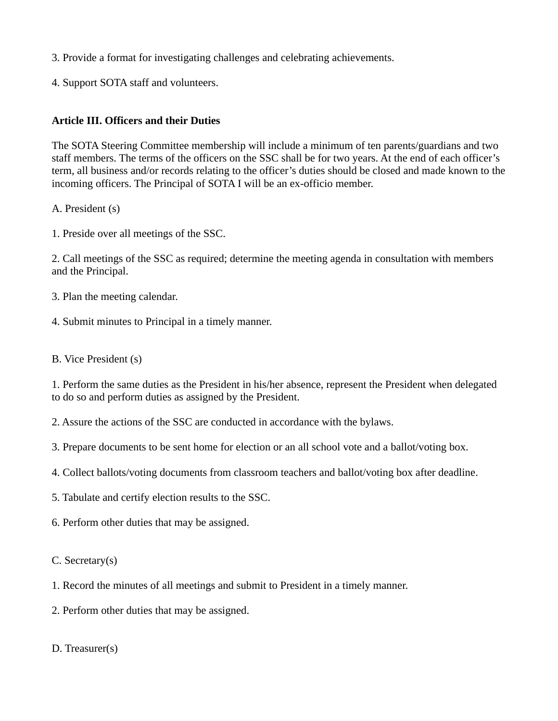- 3. Provide a format for investigating challenges and celebrating achievements.
- 4. Support SOTA staff and volunteers.

#### **Article III. Officers and their Duties**

The SOTA Steering Committee membership will include a minimum of ten parents/guardians and two staff members. The terms of the officers on the SSC shall be for two years. At the end of each officer's term, all business and/or records relating to the officer's duties should be closed and made known to the incoming officers. The Principal of SOTA I will be an ex-officio member.

- A. President (s)
- 1. Preside over all meetings of the SSC.

2. Call meetings of the SSC as required; determine the meeting agenda in consultation with members and the Principal.

- 3. Plan the meeting calendar.
- 4. Submit minutes to Principal in a timely manner.
- B. Vice President (s)

1. Perform the same duties as the President in his/her absence, represent the President when delegated to do so and perform duties as assigned by the President.

- 2. Assure the actions of the SSC are conducted in accordance with the bylaws.
- 3. Prepare documents to be sent home for election or an all school vote and a ballot/voting box.
- 4. Collect ballots/voting documents from classroom teachers and ballot/voting box after deadline.
- 5. Tabulate and certify election results to the SSC.
- 6. Perform other duties that may be assigned.
- C. Secretary(s)
- 1. Record the minutes of all meetings and submit to President in a timely manner.
- 2. Perform other duties that may be assigned.
- D. Treasurer(s)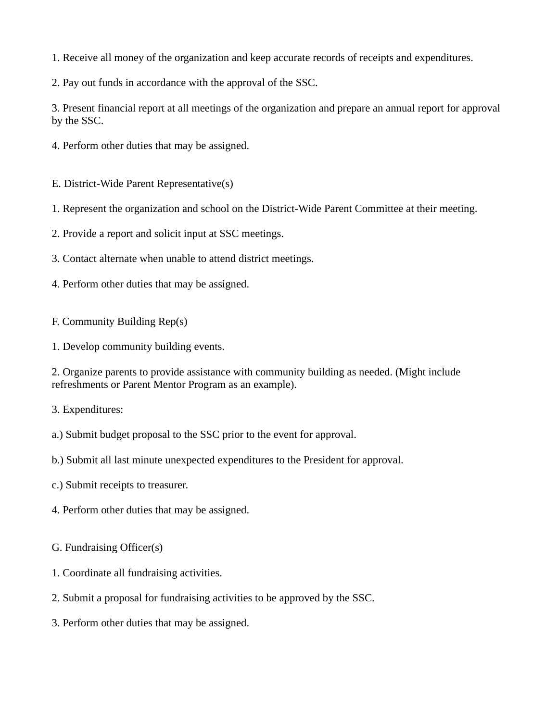1. Receive all money of the organization and keep accurate records of receipts and expenditures.

2. Pay out funds in accordance with the approval of the SSC.

3. Present financial report at all meetings of the organization and prepare an annual report for approval by the SSC.

- 4. Perform other duties that may be assigned.
- E. District-Wide Parent Representative(s)
- 1. Represent the organization and school on the District-Wide Parent Committee at their meeting.
- 2. Provide a report and solicit input at SSC meetings.
- 3. Contact alternate when unable to attend district meetings.
- 4. Perform other duties that may be assigned.
- F. Community Building Rep(s)
- 1. Develop community building events.

2. Organize parents to provide assistance with community building as needed. (Might include refreshments or Parent Mentor Program as an example).

- 3. Expenditures:
- a.) Submit budget proposal to the SSC prior to the event for approval.
- b.) Submit all last minute unexpected expenditures to the President for approval.
- c.) Submit receipts to treasurer.
- 4. Perform other duties that may be assigned.
- G. Fundraising Officer(s)
- 1. Coordinate all fundraising activities.
- 2. Submit a proposal for fundraising activities to be approved by the SSC.
- 3. Perform other duties that may be assigned.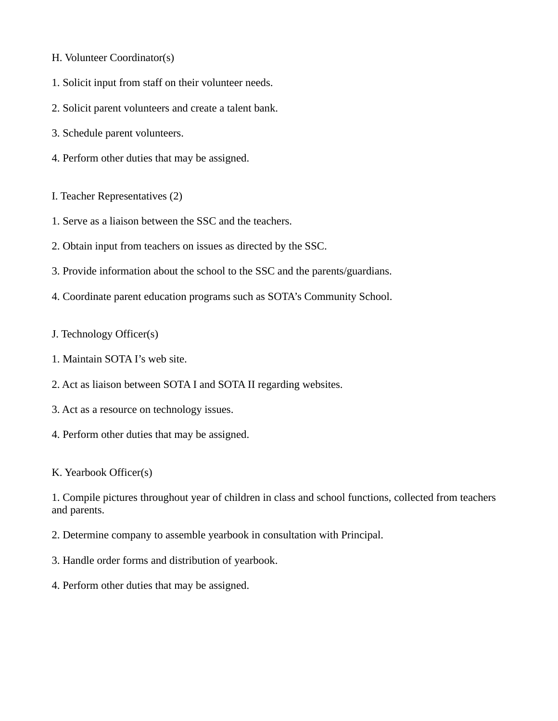- H. Volunteer Coordinator(s)
- 1. Solicit input from staff on their volunteer needs.
- 2. Solicit parent volunteers and create a talent bank.
- 3. Schedule parent volunteers.
- 4. Perform other duties that may be assigned.
- I. Teacher Representatives (2)
- 1. Serve as a liaison between the SSC and the teachers.
- 2. Obtain input from teachers on issues as directed by the SSC.
- 3. Provide information about the school to the SSC and the parents/guardians.
- 4. Coordinate parent education programs such as SOTA's Community School.
- J. Technology Officer(s)
- 1. Maintain SOTA I's web site.
- 2. Act as liaison between SOTA I and SOTA II regarding websites.
- 3. Act as a resource on technology issues.
- 4. Perform other duties that may be assigned.

K. Yearbook Officer(s)

1. Compile pictures throughout year of children in class and school functions, collected from teachers and parents.

- 2. Determine company to assemble yearbook in consultation with Principal.
- 3. Handle order forms and distribution of yearbook.
- 4. Perform other duties that may be assigned.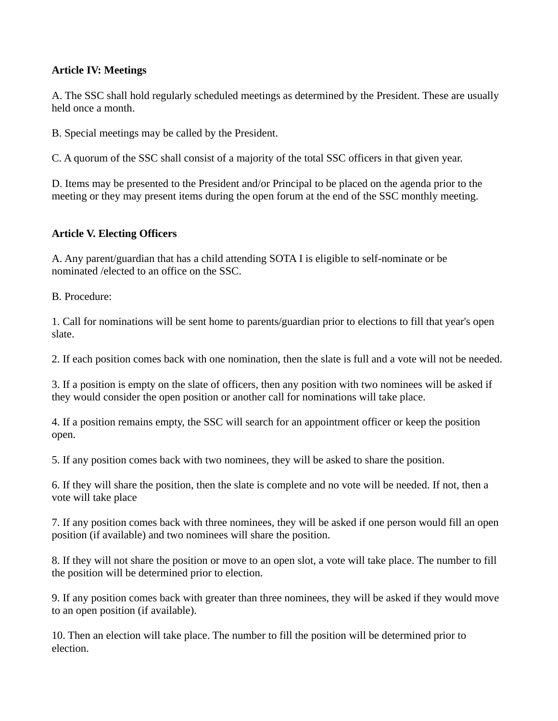### **Article IV: Meetings**

A. The SSC shall hold regularly scheduled meetings as determined by the President. These are usually held once a month.

B. Special meetings may be called by the President.

C. A quorum of the SSC shall consist of a majority of the total SSC officers in that given year.

D. Items may be presented to the President and/or Principal to be placed on the agenda prior to the meeting or they may present items during the open forum at the end of the SSC monthly meeting.

#### **Article V. Electing Officers**

A. Any parent/guardian that has a child attending SOTA I is eligible to self-nominate or be nominated /elected to an office on the SSC.

B. Procedure:

1. Call for nominations will be sent home to parents/guardian prior to elections to fill that year's open slate.

2. If each position comes back with one nomination, then the slate is full and a vote will not be needed.

3. If a position is empty on the slate of officers, then any position with two nominees will be asked if they would consider the open position or another call for nominations will take place.

4. If a position remains empty, the SSC will search for an appointment officer or keep the position open.

5. If any position comes back with two nominees, they will be asked to share the position.

6. If they will share the position, then the slate is complete and no vote will be needed. If not, then a vote will take place

7. If any position comes back with three nominees, they will be asked if one person would fill an open position (if available) and two nominees will share the position.

8. If they will not share the position or move to an open slot, a vote will take place. The number to fill the position will be determined prior to election.

9. If any position comes back with greater than three nominees, they will be asked if they would move to an open position (if available).

10. Then an election will take place. The number to fill the position will be determined prior to election.